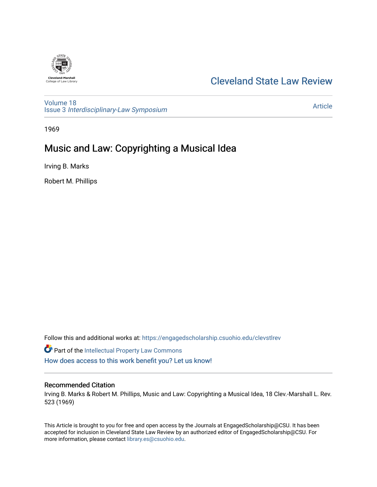

## [Cleveland State Law Review](https://engagedscholarship.csuohio.edu/clevstlrev)

[Volume 18](https://engagedscholarship.csuohio.edu/clevstlrev/vol18) Issue 3 [Interdisciplinary-Law Symposium](https://engagedscholarship.csuohio.edu/clevstlrev/vol18/iss3)

[Article](https://engagedscholarship.csuohio.edu/clevstlrev/vol18/iss3/13) 

1969

# Music and Law: Copyrighting a Musical Idea

Irving B. Marks

Robert M. Phillips

Follow this and additional works at: [https://engagedscholarship.csuohio.edu/clevstlrev](https://engagedscholarship.csuohio.edu/clevstlrev?utm_source=engagedscholarship.csuohio.edu%2Fclevstlrev%2Fvol18%2Fiss3%2F13&utm_medium=PDF&utm_campaign=PDFCoverPages)

**Part of the Intellectual Property Law Commons** [How does access to this work benefit you? Let us know!](http://library.csuohio.edu/engaged/)

#### Recommended Citation

Irving B. Marks & Robert M. Phillips, Music and Law: Copyrighting a Musical Idea, 18 Clev.-Marshall L. Rev. 523 (1969)

This Article is brought to you for free and open access by the Journals at EngagedScholarship@CSU. It has been accepted for inclusion in Cleveland State Law Review by an authorized editor of EngagedScholarship@CSU. For more information, please contact [library.es@csuohio.edu](mailto:library.es@csuohio.edu).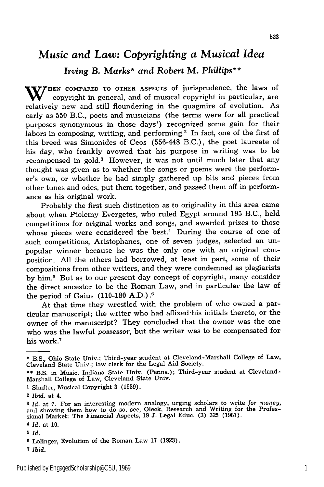### *Music and Law: Copyrighting a Musical Idea*

### *Irving* **B. Marks\*** *and Robert* **M.** *Phillips\*\**

W/HEN COMPARED TO OTHER ASPECTS of jurisprudence, the laws of copyright in general, and of musical copyright in particular, are relatively new and still floundering in the quagmire of evolution. As early as **550** B.C., poets and musicians (the terms were for all practical purposes synonymous in those  $\text{days}^1$  recognized some gain for their labors in composing, writing, and performing.<sup>2</sup> In fact, one of the first of this breed was Simonides of Ceos (556-448 B.C.), the poet laureate of his day, who frankly avowed that his purpose in writing was to be recompensed in gold.3 However, it was not until much later that any thought was given as to whether the songs or poems were the performer's own, or whether he had simply gathered up bits and pieces from other tunes and odes, put them together, and passed them off in performance as his original work.

Probably the first such distinction as to originality in this area came about when Ptolemy Evergetes, who ruled **Egypt** around **195** B.C., held competitions for original works and songs, and awarded prizes to those whose pieces were considered the best.<sup>4</sup> During the course of one of such competitions, Aristophanes, one of seven judges, selected an unpopular winner because he was the only one with an original composition. **All** the others had borrowed, at least in part, some of their compositions from other writers, and they were condemned as plagiarists **by** him.5 But as to our present day concept of copyright, many consider the direct ancestor to be the Roman Law, and in particular the law of the period of Gaius **(110-180 A.D.).6**

At that time they wrestled with the problem of who owned a particular manuscript; the writer who had affixed his initials thereto, or the owner of the manuscript? They concluded that the owner was the one who was the lawful *possessor,* but the writer was to be compensated for his work.<sup>7</sup>

**<sup>\*</sup>** B.S., Ohio State Univ.; Third-year student at Cleveland-Marshall College of Law, Cleveland State Univ.; law clerk for the Legal Aid Society.

<sup>\*\*</sup> B.S. in Music, Indiana State Univ. (Penna.); Third-year student at Cleveland-Marshall College of Law, Cleveland State Univ.

**<sup>1</sup>** Shafter, Musical Copyright 3 (1939).

<sup>2</sup>*Ibid.* at 4.

*<sup>3</sup> Id.* at 7. For an interesting modern analogy, urging scholars to write *for money,* and showing them how to do so, see, Oleck, Research and Writing for the Profes-<br>sional Market: The Financial Aspects, 19 J. Legal Educ. (3) 325 (1967).

*<sup>4</sup> Id.* at **10.**

*<sup>5</sup> Id.*

**<sup>6</sup>** Lolinger, Evolution of the Roman Law 17 (1923).

**<sup>7</sup>** Ibid.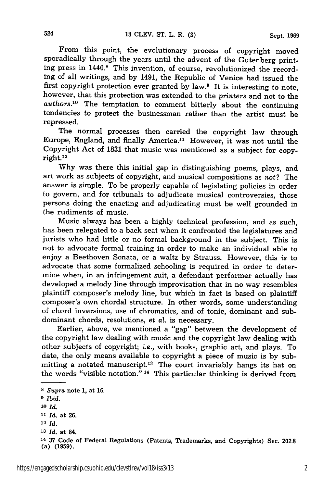From this point, the evolutionary process of copyright moved sporadically through the years until the advent of the Gutenberg printing press in 1440.8 This invention, of course, revolutionized the recording of all writings, and **by** 1491, the Republic of Venice had issued the first copyright protection ever granted **by** law.9 It is interesting to note, however, that this protection was extended to the *printers* and not to the *authors.10* The temptation to comment bitterly about the continuing tendencies to protect the businessman rather than the artist must be repressed.

The normal processes then carried the copyright law through Europe, England, and finally America.<sup>11</sup> However, it was not until the Copyright Act of **1831** that music was mentioned as a subject for copy-2 right.1

**Why** was there this initial gap in distinguishing poems, plays, and art work as subjects of copyright, and musical compositions as not? The answer is simple. To be properly capable of legislating policies in order to govern, and for tribunals to adjudicate musical controversies, those persons doing the enacting and adjudicating must be well grounded in the rudiments of music.

Music always has been a **highly** technical profession, and as such, has been relegated to a back seat when it confronted the legislatures and jurists who had little or no formal background in the subject. This is not to advocate formal training in order to make an individual able to enjoy a Beethoven Sonata, or a waltz **by** Strauss. However, this *is* to advocate that some formalized schooling is required in order to determine when, in an infringement suit, a defendant performer actually has developed a melody line through improvisation that in no way resembles plaintiff composer's melody line, but which in fact is based on plaintiff composer's own chordal structure. In other words, some understanding of chord inversions, use of chromatics, and of tonic, dominant and subdominant chords, resolutions, *et* al. is necessary.

Earlier, above, we mentioned a "gap" between the development of the copyright law dealing with music and the copyright law dealing with other subjects of copyright; *i.e.,* with books, graphic art, and plays. To date, the only means available to copyright a piece of music is by submitting a notated manuscript.<sup>13</sup> The court invariably hangs its hat on the words "visible notation." 14 This particular thinking is derived from

524

**<sup>8</sup>** *Supra* note **1,** at 16.

**<sup>9</sup>** *Ibid.*

**<sup>10</sup>** *Id.*

**<sup>11</sup>***Id.* at **26.**

<sup>12</sup> *Id.*

**<sup>13</sup>***Id.* at 84.

<sup>14</sup>**<sup>37</sup>**Code of Federal Regulations (Patents, Trademarks, and Copyrights) Sec. 202.8 (a) (1959).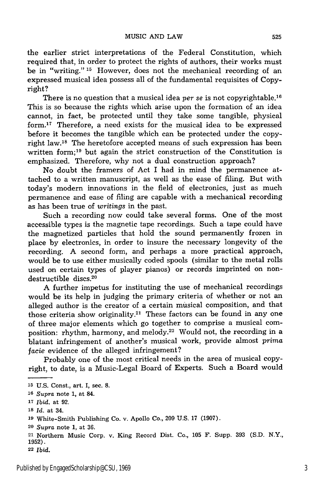the earlier strict interpretations of the Federal Constitution, which required that, in order to protect the rights of authors, their works must be in "writing." **15** However, does not the mechanical recording of an expressed musical idea possess all of the fundamental requisites of Copyright?

There is no question that a musical idea *per se* is not copyrightable. <sup>16</sup> This is so because the rights which arise upon the formation of an idea cannot, in fact, be protected until they take some tangible, physical form.17 Therefore, a need exists for the musical idea to be expressed before it becomes the tangible which can be protected under the copyright law.<sup>18</sup> The heretofore accepted means of such expression has been written form;<sup>19</sup> but again the strict construction of the Constitution is emphasized. Therefore, why not a dual construction approach?

No doubt the framers of Act I had in mind the permanence attached to a written manuscript, as well as the ease of filing. But with today's modern innovations in the field of electronics, just as much permanence and ease of filing are capable with a mechanical recording as has been true of *writings* in the past.

Such a recording now could take several forms. One of the most accessible types is the magnetic tape recordings. Such a tape could have the magnetized particles that hold the sound permanently frozen in place by electronics, in order to insure the necessary longevity of the recording. A second form, and perhaps a more practical approach, would be to use either musically coded spools (similar to the metal rolls used on certain types of player pianos) or records imprinted on nondestructible discs.<sup>20</sup>

A further impetus for instituting the use of mechanical recordings would be its help in judging the primary criteria of whether or not an alleged author is the creator of a certain musical composition, and that those criteria show originality.<sup>21</sup> These factors can be found in any one of three major elements which go together to comprise a musical composition: rhythm, harmony, and melody.<sup>22</sup> Would not, the recording in a blatant infringement of another's musical work, provide almost *prima facie* evidence of the alleged infringement?

Probably one of the most critical needs in the area of musical copyright, to date, is a Music-Legal Board of Experts. Such a Board would

**<sup>15</sup> U.S.** Const., art. **I,** sec. **8.**

**<sup>16</sup>***Supra* note 1, at 84.

**<sup>17</sup>***Ibid.* at 92.

**<sup>18</sup>***Id.* at 34.

**<sup>19</sup>**White-Smith Publishing Co. v. Apollo Co., 209 U.S. 17 (1907).

**<sup>20</sup>***Supra* note 1, at 36.

<sup>21</sup> Northern Music Corp. v. King Record Dist. Co., 105 F. Supp. 393 (S.D. N.Y., 1952).

**<sup>22</sup>***Ibid.*